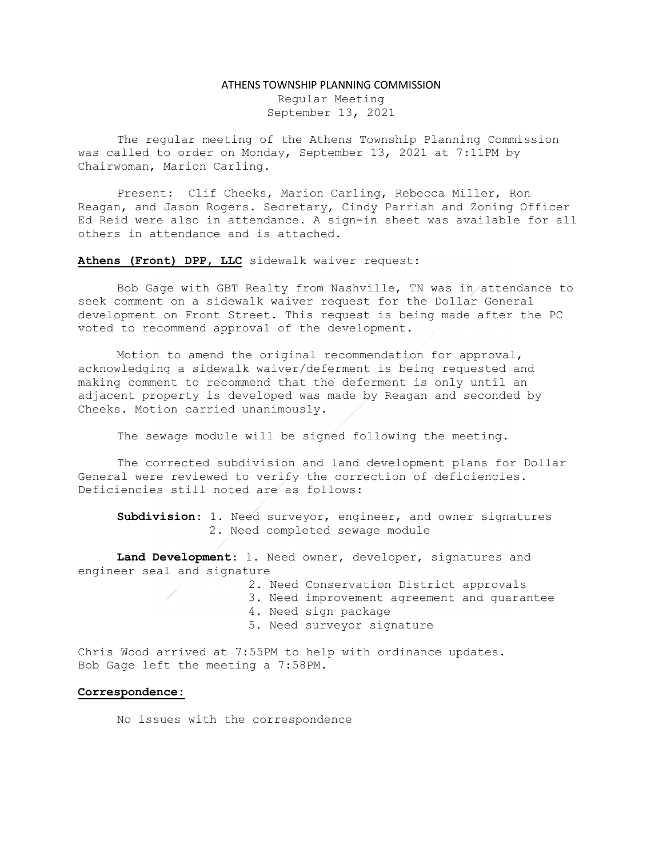## ATHENS TOWNSHIP PLANNING COMMISSION

Regular Meeting September 13, 2021

The regular meeting of the Athens Township Planning Commission was called to order on Monday, September 13, 2021 at 7:11PM by Chairwoman, Marion Carling.

Present: Clif Cheeks, Marion Carling, Rebecca Miller, Ron Reagan, and Jason Rogers. Secretary, Cindy Parrish and Zoning Officer Ed Reid were also in attendance. A sign-in sheet was available for all others in attendance and is attached.

Athens (Front) DPP, LLC sidewalk waiver request:

Bob Gage with GBT Realty from Nashville, TN was in attendance to seek comment on a sidewalk waiver request for the Dollar General development on Front Street. This request is being made after the PC voted to recommend approval of the development.

Motion to amend the original recommendation for approval, acknowledging a sidewalk waiver/deferment is being requested and making comment to recommend that the deferment is only until an adjacent property is developed was made by Reagan and seconded by Cheeks. Motion carried unanimously.

The sewage module will be signed following the meeting.

The corrected subdivision and land development plans for Dollar General were reviewed to verify the correction of deficiencies. Deficiencies still noted are as follows:

Subdivision: 1. Need surveyor, engineer, and owner signatures 2. Need completed sewage module

Land Development: 1. Need owner, developer, signatures and engineer seal and signature

2. Need Conservation District approvals

- 3. Need improvement agreement and guarantee
- 4. Need sign package
- 5. Need surveyor signature

Chris Wood arrived at 7:55PM to help with ordinance updates. Bob Gage left the meeting a 7:58PM.

## Correspondence:

No issues with the correspondence